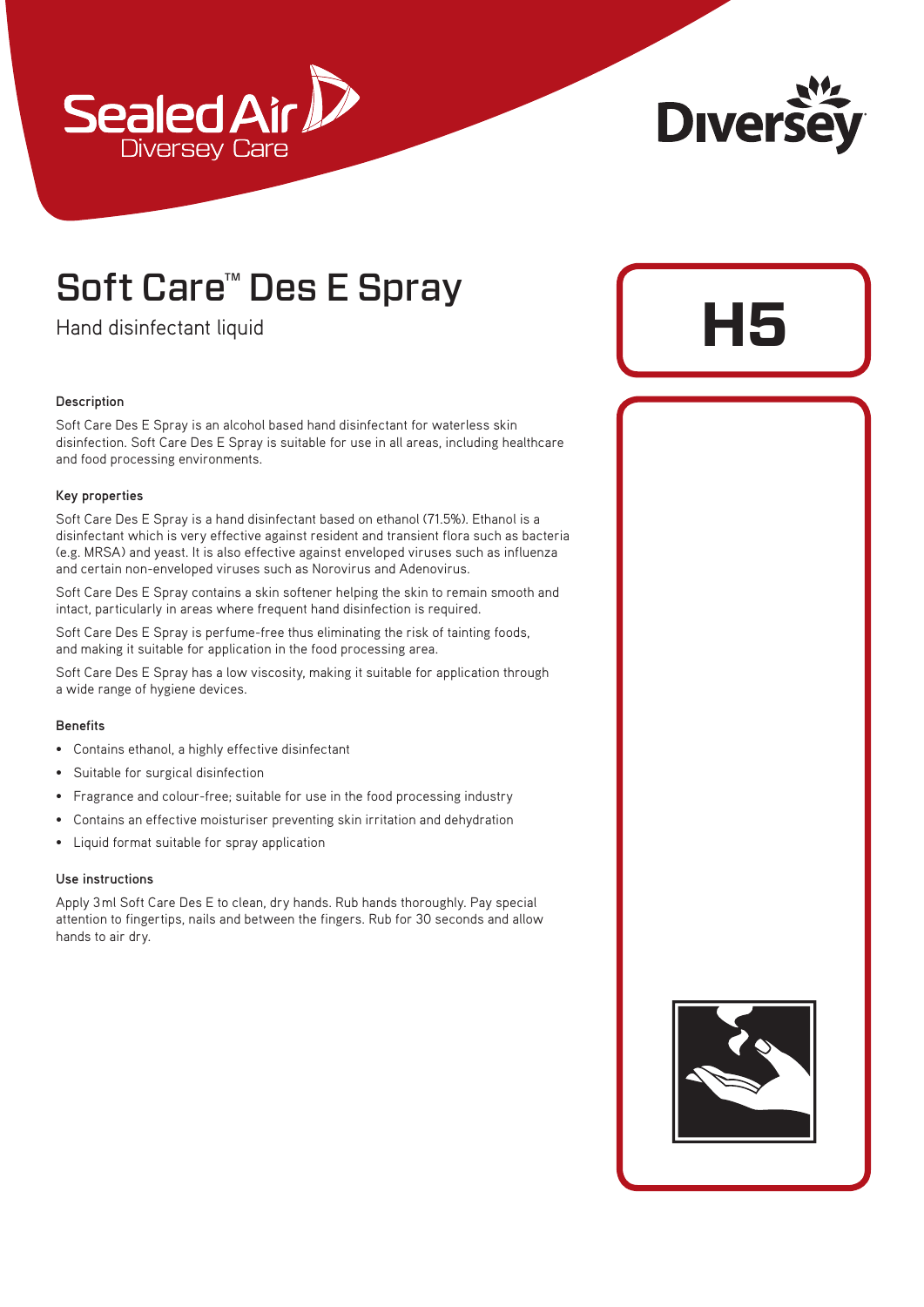



**H5**

## Soft Care™ Des E Spray

Hand disinfectant liquid

## **Description**

Soft Care Des E Spray is an alcohol based hand disinfectant for waterless skin disinfection. Soft Care Des E Spray is suitable for use in all areas, including healthcare and food processing environments.

#### **Key properties**

Soft Care Des E Spray is a hand disinfectant based on ethanol (71.5%). Ethanol is a disinfectant which is very effective against resident and transient flora such as bacteria (e.g. MRSA) and yeast. It is also effective against enveloped viruses such as influenza and certain non-enveloped viruses such as Norovirus and Adenovirus.

Soft Care Des E Spray contains a skin softener helping the skin to remain smooth and intact, particularly in areas where frequent hand disinfection is required.

Soft Care Des E Spray is perfume-free thus eliminating the risk of tainting foods, and making it suitable for application in the food processing area.

Soft Care Des E Spray has a low viscosity, making it suitable for application through a wide range of hygiene devices.

#### **Benefits**

- Contains ethanol, a highly effective disinfectant
- Suitable for surgical disinfection
- Fragrance and colour-free; suitable for use in the food processing industry
- Contains an effective moisturiser preventing skin irritation and dehydration
- Liquid format suitable for spray application

#### **Use instructions**

Apply 3ml Soft Care Des E to clean, dry hands. Rub hands thoroughly. Pay special attention to fingertips, nails and between the fingers. Rub for 30 seconds and allow hands to air dry.